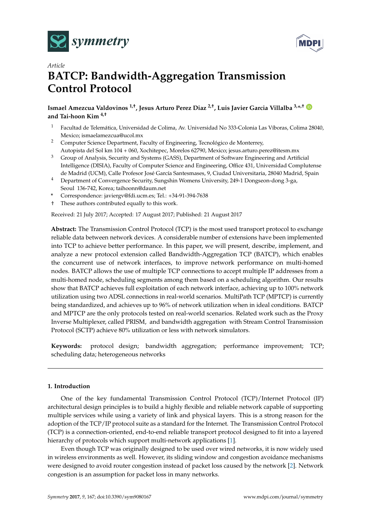



# *Article* **BATCP: Bandwidth-Aggregation Transmission Control Protocol**

# **Ismael Amezcua Valdovinos 1,†, Jesus Arturo Perez Diaz 2,†, Luis Javier Garcia Villalba 3,\* ,† and Tai-hoon Kim 4,†**

- <sup>1</sup> Facultad de Telemática, Universidad de Colima, Av. Universidad No 333-Colonia Las Víboras, Colima 28040, Mexico; ismaelamezcua@ucol.mx
- <sup>2</sup> Computer Science Department, Faculty of Engineering, Tecnológico de Monterrey, Autopista del Sol km 104 + 060, Xochitepec, Morelos 62790, Mexico; jesus.arturo.perez@itesm.mx
- <sup>3</sup> Group of Analysis, Security and Systems (GASS), Department of Software Engineering and Artificial Intelligence (DISIA), Faculty of Computer Science and Engineering, Office 431, Universidad Complutense de Madrid (UCM), Calle Profesor José García Santesmases, 9, Ciudad Universitaria, 28040 Madrid, Spain
- <sup>4</sup> Department of Convergence Security, Sungshin Womens University, 249-1 Dongseon-dong 3-ga, Seoul 136-742, Korea; taihoonn@daum.net
- **\*** Correspondence: javiergv@fdi.ucm.es; Tel.: +34-91-394-7638
- † These authors contributed equally to this work.

Received: 21 July 2017; Accepted: 17 August 2017; Published: 21 August 2017

**Abstract:** The Transmission Control Protocol (TCP) is the most used transport protocol to exchange reliable data between network devices. A considerable number of extensions have been implemented into TCP to achieve better performance. In this paper, we will present, describe, implement, and analyze a new protocol extension called Bandwidth-Aggregation TCP (BATCP), which enables the concurrent use of network interfaces, to improve network performance on multi-homed nodes. BATCP allows the use of multiple TCP connections to accept multiple IP addresses from a multi-homed node, scheduling segments among them based on a scheduling algorithm. Our results show that BATCP achieves full exploitation of each network interface, achieving up to 100% network utilization using two ADSL connections in real-world scenarios. MultiPath TCP (MPTCP) is currently being standardized, and achieves up to 96% of network utilization when in ideal conditions. BATCP and MPTCP are the only protocols tested on real-world scenarios. Related work such as the Proxy Inverse Multiplexer, called PRISM, and bandwidth aggregation with Stream Control Transmission Protocol (SCTP) achieve 80% utilization or less with network simulators.

**Keywords:** protocol design; bandwidth aggregation; performance improvement; TCP; scheduling data; heterogeneous networks

# **1. Introduction**

One of the key fundamental Transmission Control Protocol (TCP)/Internet Protocol (IP) architectural design principles is to build a highly flexible and reliable network capable of supporting multiple services while using a variety of link and physical layers. This is a strong reason for the adoption of the TCP/IP protocol suite as a standard for the Internet. The Transmission Control Protocol (TCP) is a connection-oriented, end-to-end reliable transport protocol designed to fit into a layered hierarchy of protocols which support multi-network applications [\[1\]](#page-12-0).

Even though TCP was originally designed to be used over wired networks, it is now widely used in wireless environments as well. However, its sliding window and congestion avoidance mechanisms were designed to avoid router congestion instead of packet loss caused by the network [\[2\]](#page-12-1). Network congestion is an assumption for packet loss in many networks.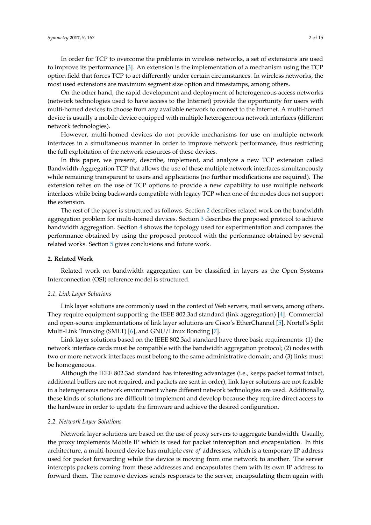In order for TCP to overcome the problems in wireless networks, a set of extensions are used to improve its performance [\[3\]](#page-12-2). An extension is the implementation of a mechanism using the TCP option field that forces TCP to act differently under certain circumstances. In wireless networks, the most used extensions are maximum segment size option and timestamps, among others.

On the other hand, the rapid development and deployment of heterogeneous access networks (network technologies used to have access to the Internet) provide the opportunity for users with multi-homed devices to choose from any available network to connect to the Internet. A multi-homed device is usually a mobile device equipped with multiple heterogeneous network interfaces (different network technologies).

However, multi-homed devices do not provide mechanisms for use on multiple network interfaces in a simultaneous manner in order to improve network performance, thus restricting the full exploitation of the network resources of these devices.

In this paper, we present, describe, implement, and analyze a new TCP extension called Bandwidth-Aggregation TCP that allows the use of these multiple network interfaces simultaneously while remaining transparent to users and applications (no further modifications are required). The extension relies on the use of TCP options to provide a new capability to use multiple network interfaces while being backwards compatible with legacy TCP when one of the nodes does not support the extension.

The rest of the paper is structured as follows. Section [2](#page-1-0) describes related work on the bandwidth aggregation problem for multi-homed devices. Section [3](#page-3-0) describes the proposed protocol to achieve bandwidth aggregation. Section [4](#page-7-0) shows the topology used for experimentation and compares the performance obtained by using the proposed protocol with the performance obtained by several related works. Section [5](#page-12-3) gives conclusions and future work.

## <span id="page-1-0"></span>**2. Related Work**

Related work on bandwidth aggregation can be classified in layers as the Open Systems Interconnection (OSI) reference model is structured.

#### *2.1. Link Layer Solutions*

Link layer solutions are commonly used in the context of Web servers, mail servers, among others. They require equipment supporting the IEEE 802.3ad standard (link aggregation) [\[4\]](#page-12-4). Commercial and open-source implementations of link layer solutions are Cisco's EtherChannel [\[5\]](#page-12-5), Nortel's Split Multi-Link Trunking (SMLT) [\[6\]](#page-13-0), and GNU/Linux Bonding [\[7\]](#page-13-1).

Link layer solutions based on the IEEE 802.3ad standard have three basic requirements: (1) the network interface cards must be compatible with the bandwidth aggregation protocol; (2) nodes with two or more network interfaces must belong to the same administrative domain; and (3) links must be homogeneous.

Although the IEEE 802.3ad standard has interesting advantages (i.e., keeps packet format intact, additional buffers are not required, and packets are sent in order), link layer solutions are not feasible in a heterogeneous network environment where different network technologies are used. Additionally, these kinds of solutions are difficult to implement and develop because they require direct access to the hardware in order to update the firmware and achieve the desired configuration.

# *2.2. Network Layer Solutions*

Network layer solutions are based on the use of proxy servers to aggregate bandwidth. Usually, the proxy implements Mobile IP which is used for packet interception and encapsulation. In this architecture, a multi-homed device has multiple *care-of* addresses, which is a temporary IP address used for packet forwarding while the device is moving from one network to another. The server intercepts packets coming from these addresses and encapsulates them with its own IP address to forward them. The remove devices sends responses to the server, encapsulating them again with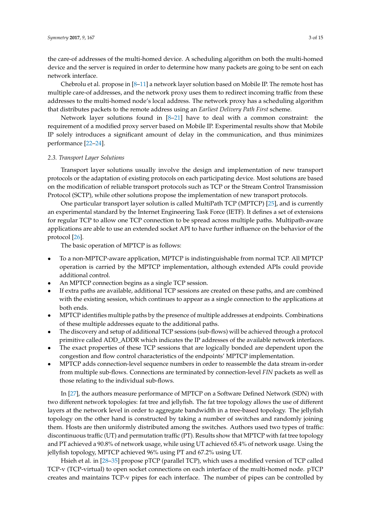the care-of addresses of the multi-homed device. A scheduling algorithm on both the multi-homed device and the server is required in order to determine how many packets are going to be sent on each network interface.

Chebrolu et al. propose in [\[8–](#page-13-2)[11\]](#page-13-3) a network layer solution based on Mobile IP. The remote host has multiple care-of addresses, and the network proxy uses them to redirect incoming traffic from these addresses to the multi-homed node's local address. The network proxy has a scheduling algorithm that distributes packets to the remote address using an *Earliest Delivery Path First* scheme.

Network layer solutions found in [\[8–](#page-13-2)[21\]](#page-13-4) have to deal with a common constraint: the requirement of a modified proxy server based on Mobile IP. Experimental results show that Mobile IP solely introduces a significant amount of delay in the communication, and thus minimizes performance [\[22](#page-13-5)[–24\]](#page-13-6).

#### *2.3. Transport Layer Solutions*

Transport layer solutions usually involve the design and implementation of new transport protocols or the adaptation of existing protocols on each participating device. Most solutions are based on the modification of reliable transport protocols such as TCP or the Stream Control Transmission Protocol (SCTP), while other solutions propose the implementation of new transport protocols.

One particular transport layer solution is called MultiPath TCP (MPTCP) [\[25\]](#page-13-7), and is currently an experimental standard by the Internet Engineering Task Force (IETF). It defines a set of extensions for regular TCP to allow one TCP connection to be spread across multiple paths. Multipath-aware applications are able to use an extended socket API to have further influence on the behavior of the protocol [\[26\]](#page-13-8).

The basic operation of MPTCP is as follows:

- To a non-MPTCP-aware application, MPTCP is indistinguishable from normal TCP. All MPTCP operation is carried by the MPTCP implementation, although extended APIs could provide additional control.
- An MPTCP connection begins as a single TCP session.
- If extra paths are available, additional TCP sessions are created on these paths, and are combined with the existing session, which continues to appear as a single connection to the applications at both ends.
- MPTCP identifies multiple paths by the presence of multiple addresses at endpoints. Combinations of these multiple addresses equate to the additional paths.
- The discovery and setup of additional TCP sessions (sub-flows) will be achieved through a protocol primitive called ADD\_ADDR which indicates the IP addresses of the available network interfaces.
- The exact properties of these TCP sessions that are logically bonded are dependent upon the congestion and flow control characteristics of the endpoints' MPTCP implementation.
- MPTCP adds connection-level sequence numbers in order to reassemble the data stream in-order from multiple sub-flows. Connections are terminated by connection-level *FIN* packets as well as those relating to the individual sub-flows.

In [\[27\]](#page-13-9), the authors measure performance of MPTCP on a Software Defined Network (SDN) with two different network topologies: fat tree and jellyfish. The fat tree topology allows the use of different layers at the network level in order to aggregate bandwidth in a tree-based topology. The jellyfish topology on the other hand is constructed by taking a number of switches and randomly joining them. Hosts are then uniformly distributed among the switches. Authors used two types of traffic: discontinuous traffic (UT) and permutation traffic (PT). Results show that MPTCP with fat tree topology and PT achieved a 90.8% of network usage, while using UT achieved 65.4% of network usage. Using the jellyfish topology, MPTCP achieved 96% using PT and 67.2% using UT.

Hsieh et al. in [\[28–](#page-13-10)[35\]](#page-14-0) propose pTCP (parallel TCP), which uses a modified version of TCP called TCP-v (TCP-virtual) to open socket connections on each interface of the multi-homed node. pTCP creates and maintains TCP-v pipes for each interface. The number of pipes can be controlled by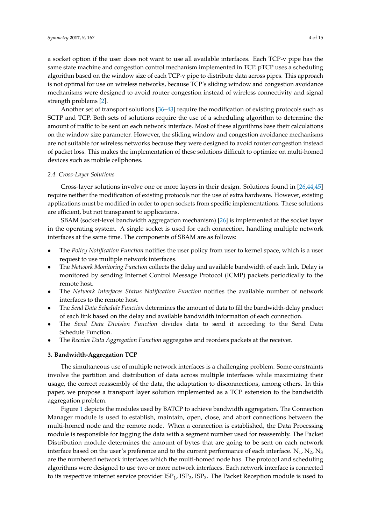a socket option if the user does not want to use all available interfaces. Each TCP-v pipe has the same state machine and congestion control mechanism implemented in TCP. pTCP uses a scheduling algorithm based on the window size of each TCP-v pipe to distribute data across pipes. This approach is not optimal for use on wireless networks, because TCP's sliding window and congestion avoidance mechanisms were designed to avoid router congestion instead of wireless connectivity and signal strength problems [\[2\]](#page-12-1).

Another set of transport solutions [\[36](#page-14-1)[–43\]](#page-14-2) require the modification of existing protocols such as SCTP and TCP. Both sets of solutions require the use of a scheduling algorithm to determine the amount of traffic to be sent on each network interface. Most of these algorithms base their calculations on the window size parameter. However, the sliding window and congestion avoidance mechanisms are not suitable for wireless networks because they were designed to avoid router congestion instead of packet loss. This makes the implementation of these solutions difficult to optimize on multi-homed devices such as mobile cellphones.

# *2.4. Cross-Layer Solutions*

Cross-layer solutions involve one or more layers in their design. Solutions found in [\[26](#page-13-8)[,44](#page-14-3)[,45\]](#page-14-4) require neither the modification of existing protocols nor the use of extra hardware. However, existing applications must be modified in order to open sockets from specific implementations. These solutions are efficient, but not transparent to applications.

SBAM (socket-level bandwidth aggregation mechanism) [\[26\]](#page-13-8) is implemented at the socket layer in the operating system. A single socket is used for each connection, handling multiple network interfaces at the same time. The components of SBAM are as follows:

- The *Policy Notification Function* notifies the user policy from user to kernel space, which is a user request to use multiple network interfaces.
- The *Network Monitoring Function* collects the delay and available bandwidth of each link. Delay is monitored by sending Internet Control Message Protocol (ICMP) packets periodically to the remote host.
- The *Network Interfaces Status Notification Function* notifies the available number of network interfaces to the remote host.
- The *Send Data Schedule Function* determines the amount of data to fill the bandwidth-delay product of each link based on the delay and available bandwidth information of each connection.
- The *Send Data Division Function* divides data to send it according to the Send Data Schedule Function.
- The *Receive Data Aggregation Function* aggregates and reorders packets at the receiver.

#### <span id="page-3-0"></span>**3. Bandwidth-Aggregation TCP**

The simultaneous use of multiple network interfaces is a challenging problem. Some constraints involve the partition and distribution of data across multiple interfaces while maximizing their usage, the correct reassembly of the data, the adaptation to disconnections, among others. In this paper, we propose a transport layer solution implemented as a TCP extension to the bandwidth aggregation problem.

Figure [1](#page-4-0) depicts the modules used by BATCP to achieve bandwidth aggregation. The Connection Manager module is used to establish, maintain, open, close, and abort connections between the multi-homed node and the remote node. When a connection is established, the Data Processing module is responsible for tagging the data with a segment number used for reassembly. The Packet Distribution module determines the amount of bytes that are going to be sent on each network interface based on the user's preference and to the current performance of each interface.  $N_1$ ,  $N_2$ ,  $N_3$ are the numbered network interfaces which the multi-homed node has. The protocol and scheduling algorithms were designed to use two or more network interfaces. Each network interface is connected to its respective internet service provider  $ISP_1$ ,  $ISP_2$ ,  $ISP_3$ . The Packet Reception module is used to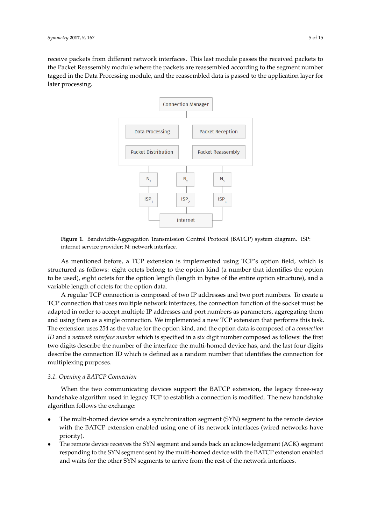<span id="page-4-0"></span>receive packets from different network interfaces. This last module passes the received packets to the Packet Reassembly module where the packets are reassembled according to the segment number tagged in the Data Processing module, and the reassembled data is passed to the application layer for later processing.



**Figure 1.** Bandwidth-Aggregation Transmission Control Protocol (BATCP) system diagram. ISP: internet service provider; N: network interface.

As mentioned before, a TCP extension is implemented using TCP's option field, which is structured as follows: eight octets belong to the option kind (a number that identifies the option to be used), eight octets for the option length (length in bytes of the entire option structure), and a variable length of octets for the option data.

A regular TCP connection is composed of two IP addresses and two port numbers. To create a TCP connection that uses multiple network interfaces, the connection function of the socket must be adapted in order to accept multiple IP addresses and port numbers as parameters, aggregating them and using them as a single connection. We implemented a new TCP extension that performs this task. The extension uses 254 as the value for the option kind, and the option data is composed of a *connection ID* and a *network interface number* which is specified in a six digit number composed as follows: the first two digits describe the number of the interface the multi-homed device has, and the last four digits describe the connection ID which is defined as a random number that identifies the connection for multiplexing purposes.

# *3.1. Opening a BATCP Connection*

When the two communicating devices support the BATCP extension, the legacy three-way handshake algorithm used in legacy TCP to establish a connection is modified. The new handshake algorithm follows the exchange:

- The multi-homed device sends a synchronization segment (SYN) segment to the remote device with the BATCP extension enabled using one of its network interfaces (wired networks have priority).
- The remote device receives the SYN segment and sends back an acknowledgement (ACK) segment responding to the SYN segment sent by the multi-homed device with the BATCP extension enabled and waits for the other SYN segments to arrive from the rest of the network interfaces.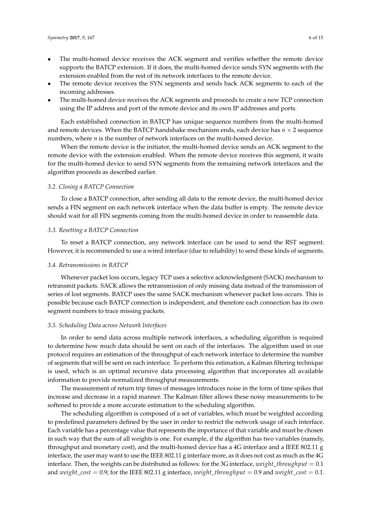- The multi-homed device receives the ACK segment and verifies whether the remote device supports the BATCP extension. If it does, the multi-homed device sends SYN segments with the extension enabled from the rest of its network interfaces to the remote device.
- The remote device receives the SYN segments and sends back ACK segments to each of the incoming addresses.
- The multi-homed device receives the ACK segments and proceeds to create a new TCP connection using the IP address and port of the remote device and its own IP addresses and ports.

Each established connection in BATCP has unique sequence numbers from the multi-homed and remote devices. When the BATCP handshake mechanism ends, each device has  $n \times 2$  sequence numbers, where *n* is the number of network interfaces on the multi-homed device.

When the remote device is the initiator, the multi-homed device sends an ACK segment to the remote device with the extension enabled. When the remote device receives this segment, it waits for the multi-homed device to send SYN segments from the remaining network interfaces and the algorithm proceeds as described earlier.

# *3.2. Closing a BATCP Connection*

To close a BATCP connection, after sending all data to the remote device, the multi-homed device sends a FIN segment on each network interface when the data buffer is empty. The remote device should wait for all FIN segments coming from the multi-homed device in order to reassemble data.

### *3.3. Resetting a BATCP Connection*

To reset a BATCP connection, any network interface can be used to send the RST segment. However, it is recommended to use a wired interface (due to reliability) to send these kinds of segments.

#### *3.4. Retransmissions in BATCP*

Whenever packet loss occurs, legacy TCP uses a selective acknowledgment (SACK) mechanism to retransmit packets. SACK allows the retransmission of only missing data instead of the transmission of series of lost segments. BATCP uses the same SACK mechanism whenever packet loss occurs. This is possible because each BATCP connection is independent, and therefore each connection has its own segment numbers to trace missing packets.

#### *3.5. Scheduling Data across Network Interfaces*

In order to send data across multiple network interfaces, a scheduling algorithm is required to determine how much data should be sent on each of the interfaces. The algorithm used in our protocol requires an estimation of the throughput of each network interface to determine the number of segments that will be sent on each interface. To perform this estimation, a Kalman filtering technique is used, which is an optimal recursive data processing algorithm that incorporates all available information to provide normalized throughput measurements.

The measurement of return trip times of messages introduces noise in the form of time spikes that increase and decrease in a rapid manner. The Kalman filter allows these noisy measurements to be softened to provide a more accurate estimation to the scheduling algorithm.

The scheduling algorithm is composed of a set of variables, which must be weighted according to predefined parameters defined by the user in order to restrict the network usage of each interface. Each variable has a percentage value that represents the importance of that variable and must be chosen in such way that the sum of all weights is one. For example, if the algorithm has two variables (namely, throughput and monetary cost), and the multi-homed device has a 4G interface and a IEEE 802.11 g interface, the user may want to use the IEEE 802.11 g interface more, as it does not cost as much as the 4G interface. Then, the weights can be distributed as follows: for the 3G interface, *weight*\_*throughput* = 0.1 and *weight*\_*cost* = 0.9; for the IEEE 802.11 g interface, *weight*\_*throughput* = 0.9 and *weight*\_*cost* = 0.1.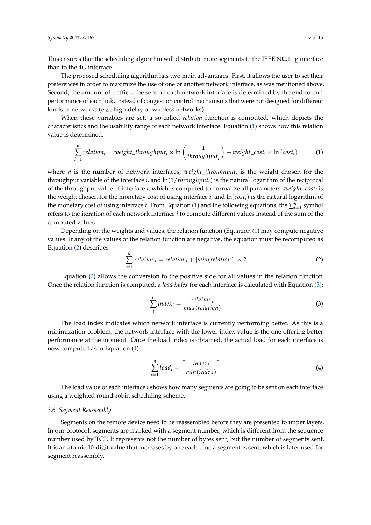This ensures that the scheduling algorithm will distribute more segments to the IEEE 802.11 g interface than to the 4G interface.

The proposed scheduling algorithm has two main advantages. First, it allows the user to set their preferences in order to maximize the use of one or another network interface, as was mentioned above. Second, the amount of traffic to be sent on each network interface is determined by the end-to-end performance of each link, instead of congestion control mechanisms that were not designed for different kinds of networks (e.g., high-delay or wireless networks).

When these variables are set, a so-called *relation* function is computed, which depicts the characteristics and the usability range of each network interface. Equation [\(1\)](#page-6-0) shows how this relation value is determined.

<span id="page-6-0"></span>
$$
\sum_{i=1}^{n} relation_{i} = weight\_throughput_{i} \times \ln\left(\frac{1}{throughput_{i}}\right) + weight\_cost_{i} \times \ln\left(cost_{i}\right)
$$
 (1)

where *n* is the number of network interfaces, *weight*\_*throughput<sup>i</sup>* is the weight chosen for the throughput variable of the interface *i*, and ln(1/*throughputi*) is the natural logarithm of the reciprocal of the throughput value of interface *i*, which is computed to normalize all parameters. *weight*\_*cost<sup>i</sup>* is the weight chosen for the monetary cost of using interface *i*, and  $\ln(cost_i)$  is the natural logarithm of the monetary cost of using interface *i*. From Equation [\(1\)](#page-6-0) and the following equations, the  $\sum_{i=1}^{n}$  symbol refers to the iteration of each network interface *i* to compute different values instead of the sum of the computed values.

Depending on the weights and values, the relation function (Equation  $(1)$  may compute negative values. If any of the values of the relation function are negative, the equation must be recomputed as Equation [\(2\)](#page-6-1) describes:

<span id="page-6-1"></span>
$$
\sum_{i=1}^{n} relation_{i} = relation_{i} + |min(relation)| \times 2
$$
 (2)

Equation [\(2\)](#page-6-1) allows the conversion to the positive side for all values in the relation function. Once the relation function is computed, a *load index* for each interface is calculated with Equation [\(3\)](#page-6-2):

<span id="page-6-2"></span>
$$
\sum_{i}^{n} index_{i} = \frac{relation_{i}}{max(relation)}
$$
\n(3)

The load index indicates which network interface is currently performing better. As this is a minimization problem, the network interface with the lower index value is the one offering better performance at the moment. Once the load index is obtained, the actual load for each interface is now computed as in Equation [\(4\)](#page-6-3):

<span id="page-6-3"></span>
$$
\sum_{i=1}^{n} load_i = \left\lceil \frac{index_i}{min(index)} \right\rceil
$$
\n(4)

The load value of each interface *i* shows how many segments are going to be sent on each interface using a weighted round-robin scheduling scheme.

#### *3.6. Segment Reassembly*

Segments on the remote device need to be reassembled before they are presented to upper layers. In our protocol, segments are marked with a segment number, which is different from the sequence number used by TCP. It represents not the number of bytes sent, but the number of segments sent. It is an atomic 10-digit value that increases by one each time a segment is sent, which is later used for segment reassembly.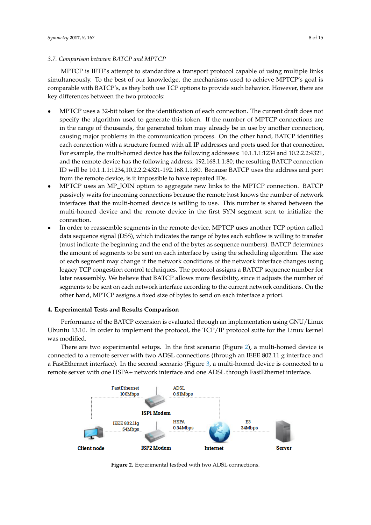# *3.7. Comparison between BATCP and MPTCP*

MPTCP is IETF's attempt to standardize a transport protocol capable of using multiple links simultaneously. To the best of our knowledge, the mechanisms used to achieve MPTCP's goal is comparable with BATCP's, as they both use TCP options to provide such behavior. However, there are key differences between the two protocols:

- MPTCP uses a 32-bit token for the identification of each connection. The current draft does not specify the algorithm used to generate this token. If the number of MPTCP connections are in the range of thousands, the generated token may already be in use by another connection, causing major problems in the communication process. On the other hand, BATCP identifies each connection with a structure formed with all IP addresses and ports used for that connection. For example, the multi-homed device has the following addresses: 10.1.1.1:1234 and 10.2.2.2:4321, and the remote device has the following address: 192.168.1.1:80; the resulting BATCP connection ID will be 10.1.1.1:1234,10.2.2.2:4321-192.168.1.1:80. Because BATCP uses the address and port from the remote device, is it impossible to have repeated IDs.
- MPTCP uses an MP\_JOIN option to aggregate new links to the MPTCP connection. BATCP passively waits for incoming connections because the remote host knows the number of network interfaces that the multi-homed device is willing to use. This number is shared between the multi-homed device and the remote device in the first SYN segment sent to initialize the connection.
- In order to reassemble segments in the remote device, MPTCP uses another TCP option called data sequence signal (DSS), which indicates the range of bytes each subflow is willing to transfer (must indicate the beginning and the end of the bytes as sequence numbers). BATCP determines the amount of segments to be sent on each interface by using the scheduling algorithm. The size of each segment may change if the network conditions of the network interface changes using legacy TCP congestion control techniques. The protocol assigns a BATCP sequence number for later reassembly. We believe that BATCP allows more flexibility, since it adjusts the number of segments to be sent on each network interface according to the current network conditions. On the other hand, MPTCP assigns a fixed size of bytes to send on each interface a priori.

# <span id="page-7-0"></span>**4. Experimental Tests and Results Comparison**

Performance of the BATCP extension is evaluated through an implementation using GNU/Linux Ubuntu 13.10. In order to implement the protocol, the TCP/IP protocol suite for the Linux kernel was modified.

There are two experimental setups. In the first scenario (Figure [2\)](#page-7-1), a multi-homed device is connected to a remote server with two ADSL connections (through an IEEE 802.11 g interface and a FastEthernet interface). In the second scenario (Figure [3,](#page-8-0) a multi-homed device is connected to a remote server with one HSPA+ network interface and one ADSL through FastEthernet interface.

<span id="page-7-1"></span>

**Figure 2.** Experimental testbed with two ADSL connections.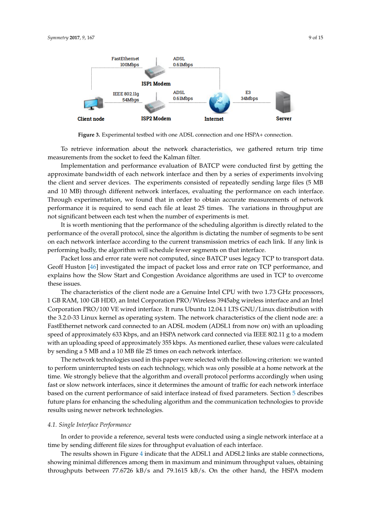<span id="page-8-0"></span>

**Figure 3.** Experimental testbed with one ADSL connection and one HSPA+ connection.

To retrieve information about the network characteristics, we gathered return trip time measurements from the socket to feed the Kalman filter.

Implementation and performance evaluation of BATCP were conducted first by getting the approximate bandwidth of each network interface and then by a series of experiments involving the client and server devices. The experiments consisted of repeatedly sending large files (5 MB and 10 MB) through different network interfaces, evaluating the performance on each interface. Through experimentation, we found that in order to obtain accurate measurements of network performance it is required to send each file at least 25 times. The variations in throughput are not significant between each test when the number of experiments is met.

It is worth mentioning that the performance of the scheduling algorithm is directly related to the performance of the overall protocol, since the algorithm is dictating the number of segments to be sent on each network interface according to the current transmission metrics of each link. If any link is performing badly, the algorithm will schedule fewer segments on that interface.

Packet loss and error rate were not computed, since BATCP uses legacy TCP to transport data. Geoff Huston [\[46\]](#page-14-5) investigated the impact of packet loss and error rate on TCP performance, and explains how the Slow Start and Congestion Avoidance algorithms are used in TCP to overcome these issues.

The characteristics of the client node are a Genuine Intel CPU with two 1.73 GHz processors, 1 GB RAM, 100 GB HDD, an Intel Corporation PRO/Wireless 3945abg wireless interface and an Intel Corporation PRO/100 VE wired interface. It runs Ubuntu 12.04.1 LTS GNU/Linux distribution with the 3.2.0-33 Linux kernel as operating system. The network characteristics of the client node are: a FastEthernet network card connected to an ADSL modem (ADSL1 from now on) with an uploading speed of approximately 633 Kbps, and an HSPA network card connected via IEEE 802.11 g to a modem with an uploading speed of approximately 355 kbps. As mentioned earlier, these values were calculated by sending a 5 MB and a 10 MB file 25 times on each network interface.

The network technologies used in this paper were selected with the following criterion: we wanted to perform uninterrupted tests on each technology, which was only possible at a home network at the time. We strongly believe that the algorithm and overall protocol performs accordingly when using fast or slow network interfaces, since it determines the amount of traffic for each network interface based on the current performance of said interface instead of fixed parameters. Section [5](#page-12-3) describes future plans for enhancing the scheduling algorithm and the communication technologies to provide results using newer network technologies.

#### *4.1. Single Interface Performance*

In order to provide a reference, several tests were conducted using a single network interface at a time by sending different file sizes for throughput evaluation of each interface.

The results shown in Figure [4](#page-9-0) indicate that the ADSL1 and ADSL2 links are stable connections, showing minimal differences among them in maximum and minimum throughput values, obtaining throughputs between 77.6726 kB/s and 79.1615 kB/s. On the other hand, the HSPA modem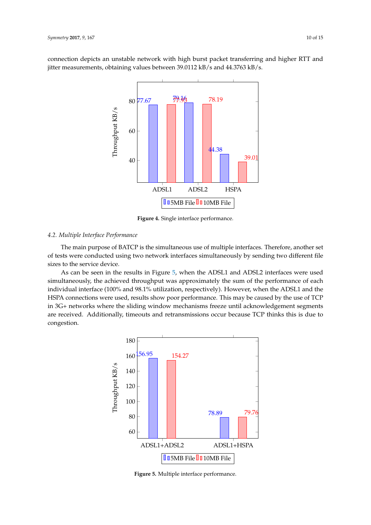<span id="page-9-0"></span>connection depicts an unstable network with high burst packet transferring and higher RTT and jitter measurements, obtaining values between 39.0112 kB/s and 44.3763 kB/s.



**Figure 4.** Single interface performance.

# *4.2. Multiple Interface Performance*

The main purpose of BATCP is the simultaneous use of multiple interfaces. Therefore, another set of tests were conducted using two network interfaces simultaneously by sending two different file sizes to the service device.

As can be seen in the results in Figure [5,](#page-9-1) when the ADSL1 and ADSL2 interfaces were used simultaneously, the achieved throughput was approximately the sum of the performance of each individual interface (100% and 98.1% utilization, respectively). However, when the ADSL1 and the HSPA connections were used, results show poor performance. This may be caused by the use of TCP in 3G+ networks where the sliding window mechanisms freeze until acknowledgement segments are received. Additionally, timeouts and retransmissions occur because TCP thinks this is due to congestion.

<span id="page-9-1"></span>

**Figure 5.** Multiple interface performance.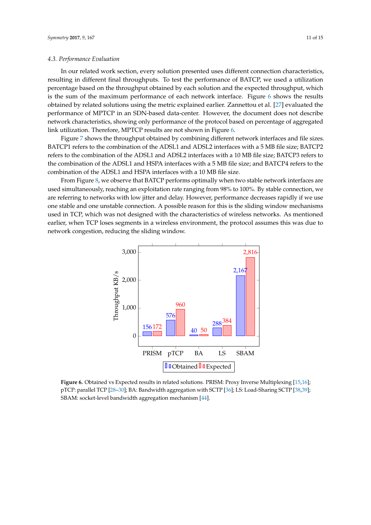# *4.3. Performance Evaluation*

In our related work section, every solution presented uses different connection characteristics, resulting in different final throughputs. To test the performance of BATCP, we used a utilization percentage based on the throughput obtained by each solution and the expected throughput, which is the sum of the maximum performance of each network interface. Figure [6](#page-10-0) shows the results obtained by related solutions using the metric explained earlier. Zannettou et al. [\[27\]](#page-13-9) evaluated the performance of MPTCP in an SDN-based data-center. However, the document does not describe network characteristics, showing only performance of the protocol based on percentage of aggregated link utilization. Therefore, MPTCP results are not shown in Figure [6.](#page-10-0)

Figure [7](#page-11-0) shows the throughput obtained by combining different network interfaces and file sizes. BATCP1 refers to the combination of the ADSL1 and ADSL2 interfaces with a 5 MB file size; BATCP2 refers to the combination of the ADSL1 and ADSL2 interfaces with a 10 MB file size; BATCP3 refers to the combination of the ADSL1 and HSPA interfaces with a 5 MB file size; and BATCP4 refers to the combination of the ADSL1 and HSPA interfaces with a 10 MB file size.

From Figure [8,](#page-11-1) we observe that BATCP performs optimally when two stable network interfaces are used simultaneously, reaching an exploitation rate ranging from 98% to 100%. By stable connection, we are referring to networks with low jitter and delay. However, performance decreases rapidly if we use one stable and one unstable connection. A possible reason for this is the sliding window mechanisms used in TCP, which was not designed with the characteristics of wireless networks. As mentioned earlier, when TCP loses segments in a wireless environment, the protocol assumes this was due to network congestion, reducing the sliding window.

<span id="page-10-0"></span>

**Figure 6.** Obtained vs Expected results in related solutions. PRISM: Proxy Inverse Multiplexing [\[15,](#page-13-11)[16\]](#page-13-12); pTCP: parallel TCP [\[28–](#page-13-10)[30\]](#page-14-6); BA: Bandwidth aggregation with SCTP [\[36\]](#page-14-1); LS: Load-Sharing SCTP [\[38,](#page-14-7)[39\]](#page-14-8); SBAM: socket-level bandwidth aggregation mechanism [\[44\]](#page-14-3).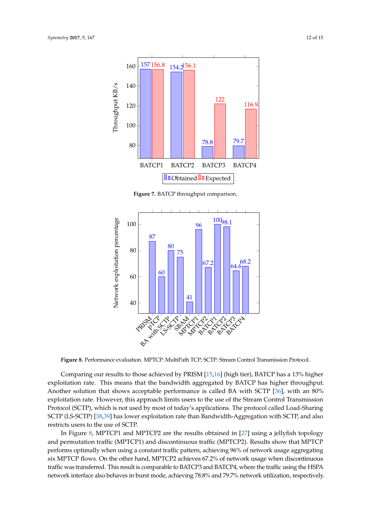<span id="page-11-0"></span>

**Figure 7.** BATCP throughput comparison.

<span id="page-11-1"></span>

**Figure 8.** Performance evaluation. MPTCP: MultiPath TCP; SCTP: Stream Control Transmission Protocol.

Comparing our results to those achieved by PRISM [\[15,](#page-13-11)[16\]](#page-13-12) (high tier), BATCP has a 13% higher exploitation rate. This means that the bandwidth aggregated by BATCP has higher throughput. Another solution that shows acceptable performance is called BA with SCTP [\[36\]](#page-14-1), with an 80% exploitation rate. However, this approach limits users to the use of the Stream Control Transmission Protocol (SCTP), which is not used by most of today's applications. The protocol called Load-Sharing SCTP (LS-SCTP) [\[38](#page-14-7)[,39\]](#page-14-8) has lower exploitation rate than Bandwidth-Aggregation with SCTP, and also restricts users to the use of SCTP.

In Figure [8,](#page-11-1) MPTCP1 and MPTCP2 are the results obtained in [\[27\]](#page-13-9) using a jellyfish topology and permutation traffic (MPTCP1) and discontinuous traffic (MPTCP2). Results show that MPTCP performs optimally when using a constant traffic pattern, achieving 96% of network usage aggregating six MPTCP flows. On the other hand, MPTCP2 achieves 67.2% of network usage when discontinuous traffic was transferred. This result is comparable to BATCP3 and BATCP4, where the traffic using the HSPA network interface also behaves in burst mode, achieving 78.8% and 79.7% network utilization, respectively.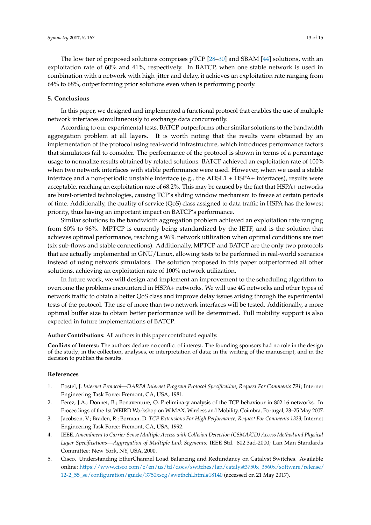The low tier of proposed solutions comprises pTCP [\[28–](#page-13-10)[30\]](#page-14-6) and SBAM [\[44\]](#page-14-3) solutions, with an exploitation rate of 60% and 41%, respectively. In BATCP, when one stable network is used in combination with a network with high jitter and delay, it achieves an exploitation rate ranging from 64% to 68%, outperforming prior solutions even when is performing poorly.

# <span id="page-12-3"></span>**5. Conclusions**

In this paper, we designed and implemented a functional protocol that enables the use of multiple network interfaces simultaneously to exchange data concurrently.

According to our experimental tests, BATCP outperforms other similar solutions to the bandwidth aggregation problem at all layers. It is worth noting that the results were obtained by an implementation of the protocol using real-world infrastructure, which introduces performance factors that simulators fail to consider. The performance of the protocol is shown in terms of a percentage usage to normalize results obtained by related solutions. BATCP achieved an exploitation rate of 100% when two network interfaces with stable performance were used. However, when we used a stable interface and a non-periodic unstable interface (e.g., the ADSL1 + HSPA+ interfaces), results were acceptable, reaching an exploitation rate of 68.2%. This may be caused by the fact that HSPA+ networks are burst-oriented technologies, causing TCP's sliding window mechanism to freeze at certain periods of time. Additionally, the quality of service (QoS) class assigned to data traffic in HSPA has the lowest priority, thus having an important impact on BATCP's performance.

Similar solutions to the bandwidth aggregation problem achieved an exploitation rate ranging from 60% to 96%. MPTCP is currently being standardized by the IETF, and is the solution that achieves optimal performance, reaching a 96% network utilization when optimal conditions are met (six sub-flows and stable connections). Additionally, MPTCP and BATCP are the only two protocols that are actually implemented in GNU/Linux, allowing tests to be performed in real-world scenarios instead of using network simulators. The solution proposed in this paper outperformed all other solutions, achieving an exploitation rate of 100% network utilization.

In future work, we will design and implement an improvement to the scheduling algorithm to overcome the problems encountered in HSPA+ networks. We will use 4G networks and other types of network traffic to obtain a better QoS class and improve delay issues arising through the experimental tests of the protocol. The use of more than two network interfaces will be tested. Additionally, a more optimal buffer size to obtain better performance will be determined. Full mobility support is also expected in future implementations of BATCP.

**Author Contributions:** All authors in this paper contributed equally.

**Conflicts of Interest:** The authors declare no conflict of interest. The founding sponsors had no role in the design of the study; in the collection, analyses, or interpretation of data; in the writing of the manuscript, and in the decision to publish the results.

#### **References**

- <span id="page-12-0"></span>1. Postel, J. *Internet Protocol—DARPA Internet Program Protocol Specification*; *Request For Comments 791*; Internet Engineering Task Force: Fremont, CA, USA, 1981.
- <span id="page-12-1"></span>2. Perez, J.A.; Donnet, B.; Bonaventure, O. Preliminary analysis of the TCP behaviour in 802.16 networks. In Proceedings of the 1st WEIRD Workshop on WiMAX, Wireless and Mobility, Coimbra, Portugal, 23–25 May 2007.
- <span id="page-12-2"></span>3. Jacobson, V.; Braden, R.; Borman, D. *TCP Extensions For High Performance*; *Request For Comments 1323*; Internet Engineering Task Force: Fremont, CA, USA, 1992.
- <span id="page-12-4"></span>4. IEEE. *Amendment to Carrier Sense Multiple Access with Collision Detection (CSMA/CD) Access Method and Physical Layer Specifications—Aggregation of Multiple Link Segments*; IEEE Std. 802.3ad-2000; Lan Man Standards Committee: New York, NY, USA, 2000.
- <span id="page-12-5"></span>5. Cisco. Understanding EtherChannel Load Balancing and Redundancy on Catalyst Switches. Available online: [https://www.cisco.com/c/en/us/td/docs/switches/lan/catalyst3750x\\_3560x/software/release/](https://www.cisco.com/c/en/us/td/docs/switches/lan/catalyst3750x_3560x/software/release/12-2_55_se/configuration/guide/3750xscg/swethchl.html#18140) [12-2\\_55\\_se/configuration/guide/3750xscg/swethchl.html#18140](https://www.cisco.com/c/en/us/td/docs/switches/lan/catalyst3750x_3560x/software/release/12-2_55_se/configuration/guide/3750xscg/swethchl.html#18140) (accessed on 21 May 2017).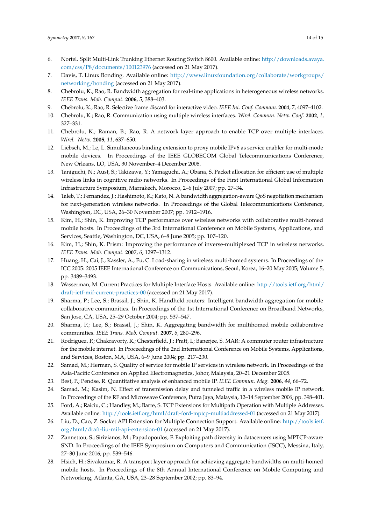- <span id="page-13-0"></span>6. Nortel. Split Multi-Link Trunking Ethernet Routing Switch 8600. Available online: [http://downloads.avaya.](http://downloads.avaya.com/css/P8/documents/100123976) [com/css/P8/documents/100123976](http://downloads.avaya.com/css/P8/documents/100123976) (accessed on 21 May 2017).
- <span id="page-13-1"></span>7. Davis, T. Linux Bonding. Available online: [http://www.linuxfoundation.org/collaborate/workgroups/](http://www.linuxfoundation.org/collaborate/workgroups/networking/bonding) [networking/bonding](http://www.linuxfoundation.org/collaborate/workgroups/networking/bonding) (accessed on 21 May 2017).
- <span id="page-13-2"></span>8. Chebrolu, K.; Rao, R. Bandwidth aggregation for real-time applications in heterogeneous wireless networks. *IEEE Trans. Mob. Comput.* **2006**, *5*, 388–403.
- 9. Chebrolu, K.; Rao, R. Selective frame discard for interactive video. *IEEE Int. Conf. Commun.* **2004**, *7*, 4097–4102.
- 10. Chebrolu, K.; Rao, R. Communication using multiple wireless interfaces. *Wirel. Commun. Netw. Conf.* **2002**, *1*, 327–331.
- <span id="page-13-3"></span>11. Chebrolu, K.; Raman, B.; Rao, R. A network layer approach to enable TCP over multiple interfaces. *Wirel. Netw.* **2005**, *11*, 637–650.
- 12. Liebsch, M.; Le, L. Simultaneous binding extension to proxy mobile IPv6 as service enabler for multi-mode mobile devices. In Proceedings of the IEEE GLOBECOM Global Telecommunications Conference, New Orleans, LO, USA, 30 November–4 December 2008.
- 13. Taniguchi, N.; Aust, S.; Takizawa, Y.; Yamaguchi, A.; Obana, S. Packet allocation for efficient use of multiple wireless links in cognitive radio networks. In Proceedings of the First International Global Information Infrastructure Symposium, Marrakech, Morocco, 2–6 July 2007; pp. 27–34.
- 14. Taleb, T.; Fernandez, J.; Hashimoto, K.; Kato, N. A bandwidth aggregation-aware QoS negotiation mechanism for next-generation wireless networks. In Proceedings of the Global Telecommunications Conference, Washington, DC, USA, 26–30 November 2007; pp. 1912–1916.
- <span id="page-13-11"></span>15. Kim, H.; Shin, K. Improving TCP performance over wireless networks with collaborative multi-homed mobile hosts. In Proceedings of the 3rd International Conference on Mobile Systems, Applications, and Services, Seattle, Washington, DC, USA, 6–8 June 2005; pp. 107–120.
- <span id="page-13-12"></span>16. Kim, H.; Shin, K. Prism: Improving the performance of inverse-multiplexed TCP in wireless networks. *IEEE Trans. Mob. Comput.* **2007**, *6*, 1297–1312.
- 17. Huang, H.; Cai, J.; Kassler, A.; Fu, C. Load-sharing in wireless multi-homed systems. In Proceedings of the ICC 2005: 2005 IEEE International Conference on Communications, Seoul, Korea, 16–20 May 2005; Volume 5, pp. 3489–3493.
- 18. Wasserman, M. Current Practices for Multiple Interface Hosts. Available online: [http://tools.ietf.org/html/](http://tools.ietf.org/html/draft-ietf-mif-current-practices-00) [draft-ietf-mif-current-practices-00](http://tools.ietf.org/html/draft-ietf-mif-current-practices-00) (accessed on 21 May 2017).
- 19. Sharma, P.; Lee, S.; Brassil, J.; Shin, K. Handheld routers: Intelligent bandwidth aggregation for mobile collaborative communities. In Proceedings of the 1st International Conference on Broadband Networks, San Jose, CA, USA, 25–29 October 2004; pp. 537–547.
- 20. Sharma, P.; Lee, S.; Brassil, J.; Shin, K. Aggregating bandwidth for multihomed mobile collaborative communities. *IEEE Trans. Mob. Comput.* **2007**, *6*, 280–296.
- <span id="page-13-4"></span>21. Rodriguez, P.; Chakravorty, R.; Chesterfield, J.; Pratt, I.; Banerjee, S. MAR: A commuter router infrastructure for the mobile internet. In Proceedings of the 2nd International Conference on Mobile Systems, Applications, and Services, Boston, MA, USA, 6–9 June 2004; pp. 217–230.
- <span id="page-13-5"></span>22. Samad, M.; Herman, S. Quality of service for mobile IP services in wireless network. In Proceedings of the Asia-Pacific Conference on Applied Electromagnetics, Johor, Malaysia, 20–21 December 2005.
- 23. Best, P.; Pendse, R. Quantitative analysis of enhanced mobile IP. *IEEE Commun. Mag.* **2006**, *44*, 66–72.
- <span id="page-13-6"></span>24. Samad, M.; Kasim, N. Effect of transmission delay and tunneled traffic in a wireless mobile IP network. In Proceedings of the RF and Microwave Conference, Putra Jaya, Malaysia, 12–14 September 2006; pp. 398–401.
- <span id="page-13-7"></span>25. Ford, A.; Raiciu, C.; Handley, M.; Barre, S. TCP Extensions for Multipath Operation with Multiple Addresses. Available online: <http://tools.ietf.org/html/draft-ford-mptcp-multiaddressed-01> (accessed on 21 May 2017).
- <span id="page-13-8"></span>26. Liu, D.; Cao, Z. Socket API Extension for Multiple Connection Support. Available online: [http://tools.ietf.](http://tools.ietf.org/html/draft-liu-mif-api-extension-01) [org/html/draft-liu-mif-api-extension-01](http://tools.ietf.org/html/draft-liu-mif-api-extension-01) (accessed on 21 May 2017).
- <span id="page-13-9"></span>27. Zannettou, S.; Sirivianos, M.; Papadopoulos, F. Exploiting path diversity in datacenters using MPTCP-aware SND. In Proceedings of the IEEE Symposium on Computers and Communication (ISCC), Messina, Italy, 27–30 June 2016; pp. 539–546.
- <span id="page-13-10"></span>28. Hsieh, H.; Sivakumar, R. A transport layer approach for achieving aggregate bandwidths on multi-homed mobile hosts. In Proceedings of the 8th Annual International Conference on Mobile Computing and Networking, Atlanta, GA, USA, 23–28 September 2002; pp. 83–94.